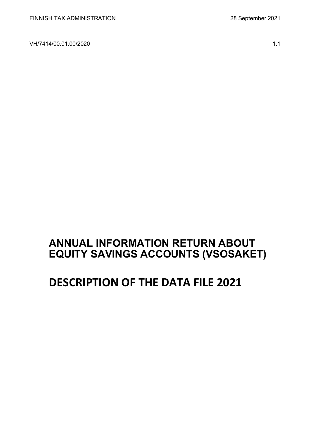VH/7414/00.01.00/2020 1.1

# **ANNUAL INFORMATION RETURN ABOUT EQUITY SAVINGS ACCOUNTS (VSOSAKET)**

# **DESCRIPTION OF THE DATA FILE 2021**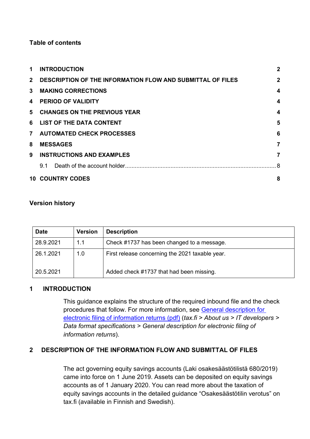### **Table of contents**

| 1.           | <b>INTRODUCTION</b>                                        | $\overline{2}$          |
|--------------|------------------------------------------------------------|-------------------------|
| $2^{\circ}$  | DESCRIPTION OF THE INFORMATION FLOW AND SUBMITTAL OF FILES | $\mathbf{2}$            |
| $\mathbf{3}$ | <b>MAKING CORRECTIONS</b>                                  | $\overline{\mathbf{4}}$ |
| 4            | <b>PERIOD OF VALIDITY</b>                                  | $\overline{\mathbf{4}}$ |
|              | 5 CHANGES ON THE PREVIOUS YEAR                             | $\overline{\mathbf{4}}$ |
|              | 6 LIST OF THE DATA CONTENT                                 | 5                       |
|              | 7 AUTOMATED CHECK PROCESSES                                | 6                       |
| 8            | <b>MESSAGES</b>                                            | 7                       |
| 9            | <b>INSTRUCTIONS AND EXAMPLES</b>                           | 7                       |
|              | 9.1                                                        |                         |
|              | <b>10 COUNTRY CODES</b>                                    | 8                       |

#### **Version history**

| <b>Date</b> | <b>Version</b> | <b>Description</b>                              |
|-------------|----------------|-------------------------------------------------|
| 28.9.2021   | 1.1            | Check #1737 has been changed to a message.      |
| 26.1.2021   | 1.0            | First release concerning the 2021 taxable year. |
| 20.5.2021   |                | Added check #1737 that had been missing.        |

#### <span id="page-1-0"></span>**1 INTRODUCTION**

This guidance explains the structure of the required inbound file and the check procedures that follow. For more information, see [General description for](https://www.vero.fi/globalassets/tietoa-verohallinnosta/ohjelmistokehittajille/s%C3%A4hk%C3%B6isen-ilmoittamisen-yleiskuvaus2.pdf)  [electronic filing of information returns \(pdf\)](https://www.vero.fi/globalassets/tietoa-verohallinnosta/ohjelmistokehittajille/s%C3%A4hk%C3%B6isen-ilmoittamisen-yleiskuvaus2.pdf) (*tax.fi > About us > IT developers > Data format specifications > General description for electronic filing of information returns*).

### <span id="page-1-1"></span>**2 DESCRIPTION OF THE INFORMATION FLOW AND SUBMITTAL OF FILES**

The act governing equity savings accounts (Laki osakesäästötilistä 680/2019) came into force on 1 June 2019. Assets can be deposited on equity savings accounts as of 1 January 2020. You can read more about the taxation of equity savings accounts in the detailed guidance "Osakesäästötilin verotus" on tax.fi (available in Finnish and Swedish).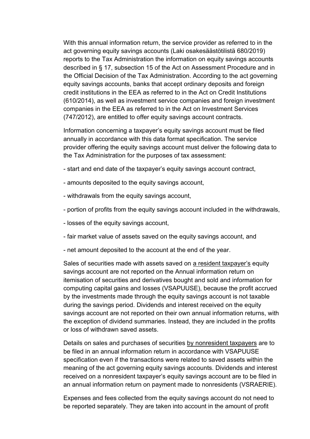With this annual information return, the service provider as referred to in the act governing equity savings accounts (Laki osakesäästötilistä 680/2019) reports to the Tax Administration the information on equity savings accounts described in § 17, subsection 15 of the Act on Assessment Procedure and in the Official Decision of the Tax Administration. According to the act governing equity savings accounts, banks that accept ordinary deposits and foreign credit institutions in the EEA as referred to in the Act on Credit Institutions (610/2014), as well as investment service companies and foreign investment companies in the EEA as referred to in the Act on Investment Services (747/2012), are entitled to offer equity savings account contracts.

Information concerning a taxpayer's equity savings account must be filed annually in accordance with this data format specification. The service provider offering the equity savings account must deliver the following data to the Tax Administration for the purposes of tax assessment:

- start and end date of the taxpayer's equity savings account contract,
- amounts deposited to the equity savings account,
- withdrawals from the equity savings account,
- portion of profits from the equity savings account included in the withdrawals,
- losses of the equity savings account,
- fair market value of assets saved on the equity savings account, and
- net amount deposited to the account at the end of the year.

Sales of securities made with assets saved on a resident taxpayer's equity savings account are not reported on the Annual information return on itemisation of securities and derivatives bought and sold and information for computing capital gains and losses (VSAPUUSE), because the profit accrued by the investments made through the equity savings account is not taxable during the savings period. Dividends and interest received on the equity savings account are not reported on their own annual information returns, with the exception of dividend summaries. Instead, they are included in the profits or loss of withdrawn saved assets.

Details on sales and purchases of securities by nonresident taxpayers are to be filed in an annual information return in accordance with VSAPUUSE specification even if the transactions were related to saved assets within the meaning of the act governing equity savings accounts. Dividends and interest received on a nonresident taxpayer's equity savings account are to be filed in an annual information return on payment made to nonresidents (VSRAERIE).

Expenses and fees collected from the equity savings account do not need to be reported separately. They are taken into account in the amount of profit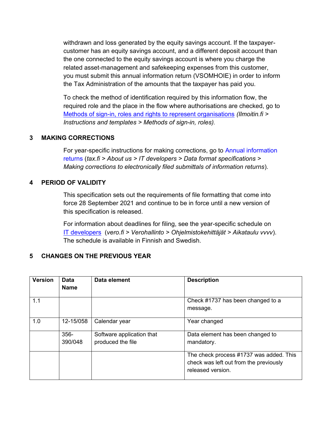withdrawn and loss generated by the equity savings account. If the taxpayercustomer has an equity savings account, and a different deposit account than the one connected to the equity savings account is where you charge the related asset-management and safekeeping expenses from this customer, you must submit this annual information return (VSOMHOIE) in order to inform the Tax Administration of the amounts that the taxpayer has paid you.

To check the method of identification required by this information flow, the required role and the place in the flow where authorisations are checked, go to [Methods of sign-in, roles and rights to represent organisations](https://www.ilmoitin.fi/webtamo/sivut/IlmoituslajiRoolit?kieli=en&tv=VSOSAKET) *[\(Ilmoitin.fi >](https://www.ilmoitin.fi/webtamo/sivut/IlmoituslajiRoolit?kieli=en)  [Instructions and templates > Methods of sign-in, roles\)](https://www.ilmoitin.fi/webtamo/sivut/IlmoituslajiRoolit?kieli=en).*

## <span id="page-3-0"></span>**3 MAKING CORRECTIONS**

For year-specific instructions for making corrections, go to [Annual information](https://www.vero.fi/en/About-us/it_developer/data-format-specifications/annual_information_returns__instruction/)  [returns](https://www.vero.fi/en/About-us/it_developer/data-format-specifications/annual_information_returns__instruction/) (*tax.fi > About us > IT developers > Data format specifications > Making corrections to electronically filed submittals of information returns*).

## <span id="page-3-1"></span>**4 PERIOD OF VALIDITY**

This specification sets out the requirements of file formatting that come into force 28 September 2021 and continue to be in force until a new version of this specification is released.

For information about deadlines for filing, see the year-specific schedule on [IT developers](https://www.vero.fi/tietoa-verohallinnosta/kehittaja/) (*vero.fi > Verohallinto > Ohjelmistokehittäjät > Aikataulu vvvv*). The schedule is available in Finnish and Swedish.

## <span id="page-3-2"></span>**5 CHANGES ON THE PREVIOUS YEAR**

| <b>Version</b> | <b>Data</b><br><b>Name</b> | Data element                                   | <b>Description</b>                                                                                     |
|----------------|----------------------------|------------------------------------------------|--------------------------------------------------------------------------------------------------------|
| 1.1            |                            |                                                | Check #1737 has been changed to a<br>message.                                                          |
| 1.0            | 12-15/058                  | Calendar year                                  | Year changed                                                                                           |
|                | $356 -$<br>390/048         | Software application that<br>produced the file | Data element has been changed to<br>mandatory.                                                         |
|                |                            |                                                | The check process #1737 was added. This<br>check was left out from the previously<br>released version. |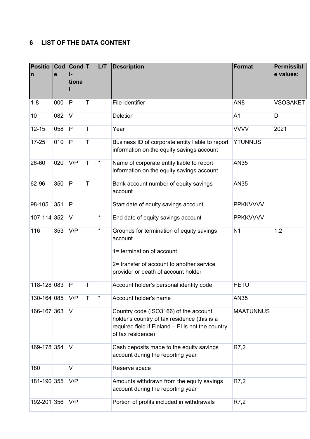## <span id="page-4-0"></span>**6 LIST OF THE DATA CONTENT**

| <b>Positio</b><br>$\mathsf{n}$ | Cod<br>e | Cond <sub>T</sub><br>tiona |   | L/T | <b>Description</b>                                                                                                                                                    | Format           | <b>Permissibl</b><br>e values: |
|--------------------------------|----------|----------------------------|---|-----|-----------------------------------------------------------------------------------------------------------------------------------------------------------------------|------------------|--------------------------------|
| $1 - 8$                        | 000      | P                          | T |     | File identifier                                                                                                                                                       | AN <sub>8</sub>  | <b>VSOSAKET</b>                |
| 10                             | 082      | $\vee$                     |   |     | <b>Deletion</b>                                                                                                                                                       | A <sub>1</sub>   | D                              |
| $12 - 15$                      | 058      | P                          | T |     | Year                                                                                                                                                                  | <b>VVVV</b>      | 2021                           |
| $17 - 25$                      | 010      | P                          | T |     | Business ID of corporate entity liable to report<br>information on the equity savings account                                                                         | <b>YTUNNUS</b>   |                                |
| 26-60                          | 020      | V/P                        | T | *   | Name of corporate entity liable to report<br>information on the equity savings account                                                                                | <b>AN35</b>      |                                |
| 62-96                          | 350      | P                          | T |     | Bank account number of equity savings<br>account                                                                                                                      | <b>AN35</b>      |                                |
| 98-105                         | 351      | P                          |   |     | Start date of equity savings account                                                                                                                                  | <b>PPKKVVVV</b>  |                                |
| 107-114 352                    |          | $\vee$                     |   | *   | End date of equity savings account                                                                                                                                    | <b>PPKKVVVV</b>  |                                |
| 116                            | 353      | V/P                        |   | *   | Grounds for termination of equity savings<br>account<br>1= termination of account<br>2= transfer of account to another service<br>provider or death of account holder | N <sub>1</sub>   | 1,2                            |
| 118-128 083                    |          | P                          | Τ |     | Account holder's personal identity code                                                                                                                               | <b>HETU</b>      |                                |
| 130-164 085                    |          | V/P                        | т | *   | Account holder's name                                                                                                                                                 | AN35             |                                |
| 166-167 363                    |          | V                          |   |     | Country code (ISO3166) of the account<br>holder's country of tax residence (this is a<br>required field if Finland - FI is not the country<br>of tax residence)       | <b>MAATUNNUS</b> |                                |
| 169-178 354                    |          | V                          |   |     | Cash deposits made to the equity savings<br>account during the reporting year                                                                                         | R7,2             |                                |
| 180                            |          | $\vee$                     |   |     | Reserve space                                                                                                                                                         |                  |                                |
| 181-190 355                    |          | V/P                        |   |     | Amounts withdrawn from the equity savings<br>account during the reporting year                                                                                        | R7,2             |                                |
| 192-201 356                    |          | V/P                        |   |     | Portion of profits included in withdrawals                                                                                                                            | R7,2             |                                |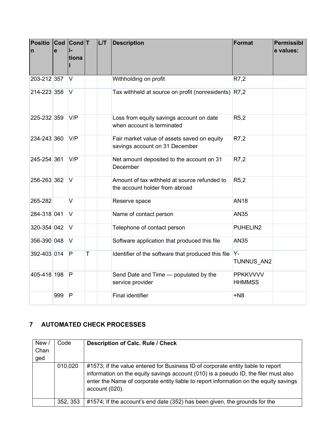| <b>Positio</b><br>$\mathsf{n}$ | $\mathbf{e}$ | Cod Cond T<br>tiona |   | <b>L/T</b> | <b>Description</b>                                                             | Format                           | <b>Permissibl</b><br>e values: |
|--------------------------------|--------------|---------------------|---|------------|--------------------------------------------------------------------------------|----------------------------------|--------------------------------|
| 203-212 357                    |              | V                   |   |            | Withholding on profit                                                          | R7,2                             |                                |
| 214-223 358                    |              | $\vee$              |   |            | Tax withheld at source on profit (nonresidents)                                | R7,2                             |                                |
| 225-232 359                    |              | V/P                 |   |            | Loss from equity savings account on date<br>when account is terminated         | R5,2                             |                                |
| 234-243 360                    |              | V/P                 |   |            | Fair market value of assets saved on equity<br>savings account on 31 December  | R7,2                             |                                |
| 245-254 361                    |              | V/P                 |   |            | Net amount deposited to the account on 31<br>December                          | R7,2                             |                                |
| 256-263 362                    |              | V                   |   |            | Amount of tax withheld at source refunded to<br>the account holder from abroad | R5,2                             |                                |
| 265-282                        |              | $\vee$              |   |            | Reserve space                                                                  | <b>AN18</b>                      |                                |
| 284-318 041                    |              | $\vee$              |   |            | Name of contact person                                                         | <b>AN35</b>                      |                                |
| 320-354 042                    |              | $\vee$              |   |            | Telephone of contact person                                                    | PUHELIN2                         |                                |
| 356-390 048                    |              | $\vee$              |   |            | Software application that produced this file                                   | <b>AN35</b>                      |                                |
| 392-403 014                    |              | $\overline{P}$      | T |            | Identifier of the software that produced this file                             | $Y -$<br>TUNNUS AN2              |                                |
| 405-418 198                    |              | P                   |   |            | Send Date and Time - populated by the<br>service provider                      | <b>PPKKVVVV</b><br><b>HHMMSS</b> |                                |
|                                | 999          | P                   |   |            | <b>Final identifier</b>                                                        | $+N8$                            |                                |

## <span id="page-5-0"></span>**7 AUTOMATED CHECK PROCESSES**

| New /<br>Chan<br>ged | Code     | <b>Description of Calc. Rule / Check</b>                                                                                                                                                                                                                                              |
|----------------------|----------|---------------------------------------------------------------------------------------------------------------------------------------------------------------------------------------------------------------------------------------------------------------------------------------|
|                      | 010,020  | #1573; If the value entered for Business ID of corporate entity liable to report<br>information on the equity savings account (010) is a pseudo ID, the filer must also<br>enter the Name of corporate entity liable to report information on the equity savings<br>$account (020)$ . |
|                      | 352, 353 | #1574; If the account's end date (352) has been given, the grounds for the                                                                                                                                                                                                            |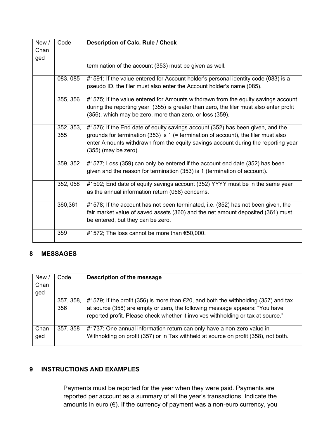| New /<br>Chan<br>ged | Code             | <b>Description of Calc. Rule / Check</b>                                                                                                                                                                                                                                            |
|----------------------|------------------|-------------------------------------------------------------------------------------------------------------------------------------------------------------------------------------------------------------------------------------------------------------------------------------|
|                      |                  | termination of the account (353) must be given as well.                                                                                                                                                                                                                             |
|                      | 083, 085         | #1591; If the value entered for Account holder's personal identity code (083) is a<br>pseudo ID, the filer must also enter the Account holder's name (085).                                                                                                                         |
|                      | 355, 356         | #1575; If the value entered for Amounts withdrawn from the equity savings account<br>during the reporting year (355) is greater than zero, the filer must also enter profit<br>(356), which may be zero, more than zero, or loss (359).                                             |
|                      | 352, 353,<br>355 | #1576; If the End date of equity savings account (352) has been given, and the<br>grounds for termination (353) is $1$ (= termination of account), the filer must also<br>enter Amounts withdrawn from the equity savings account during the reporting year<br>(355) (may be zero). |
|                      | 359, 352         | #1577; Loss (359) can only be entered if the account end date (352) has been<br>given and the reason for termination (353) is 1 (termination of account).                                                                                                                           |
|                      | 352, 058         | #1592; End date of equity savings account (352) YYYY must be in the same year<br>as the annual information return (058) concerns.                                                                                                                                                   |
|                      | 360,361          | #1578; If the account has not been terminated, i.e. (352) has not been given, the<br>fair market value of saved assets (360) and the net amount deposited (361) must<br>be entered, but they can be zero.                                                                           |
|                      | 359              | #1572; The loss cannot be more than €50,000.                                                                                                                                                                                                                                        |

### <span id="page-6-0"></span>**8 MESSAGES**

| New/ | Code      | Description of the message                                                                    |
|------|-----------|-----------------------------------------------------------------------------------------------|
| Chan |           |                                                                                               |
| ged  |           |                                                                                               |
|      | 357, 358, | #1579; If the profit (356) is more than $\epsilon$ 20, and both the withholding (357) and tax |
|      | 356       | at source (358) are empty or zero, the following message appears: "You have                   |
|      |           | reported profit. Please check whether it involves withholding or tax at source."              |
| Chan | 357, 358  | #1737; One annual information return can only have a non-zero value in                        |
| ged  |           | Withholding on profit (357) or in Tax withheld at source on profit (358), not both.           |

## <span id="page-6-1"></span>**9 INSTRUCTIONS AND EXAMPLES**

Payments must be reported for the year when they were paid. Payments are reported per account as a summary of all the year's transactions. Indicate the amounts in euro (€). If the currency of payment was a non-euro currency, you